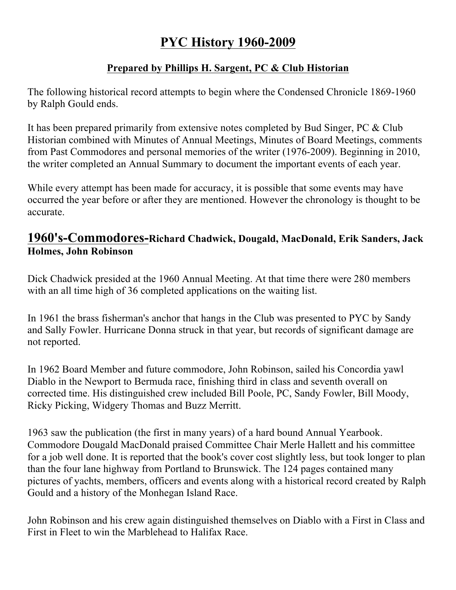# **PYC History 1960-2009**

#### **Prepared by Phillips H. Sargent, PC & Club Historian**

The following historical record attempts to begin where the Condensed Chronicle 1869-1960 by Ralph Gould ends.

It has been prepared primarily from extensive notes completed by Bud Singer, PC & Club Historian combined with Minutes of Annual Meetings, Minutes of Board Meetings, comments from Past Commodores and personal memories of the writer (1976-2009). Beginning in 2010, the writer completed an Annual Summary to document the important events of each year.

While every attempt has been made for accuracy, it is possible that some events may have occurred the year before or after they are mentioned. However the chronology is thought to be accurate.

## **1960's-Commodores-Richard Chadwick, Dougald, MacDonald, Erik Sanders, Jack Holmes, John Robinson**

Dick Chadwick presided at the 1960 Annual Meeting. At that time there were 280 members with an all time high of 36 completed applications on the waiting list.

In 1961 the brass fisherman's anchor that hangs in the Club was presented to PYC by Sandy and Sally Fowler. Hurricane Donna struck in that year, but records of significant damage are not reported.

In 1962 Board Member and future commodore, John Robinson, sailed his Concordia yawl Diablo in the Newport to Bermuda race, finishing third in class and seventh overall on corrected time. His distinguished crew included Bill Poole, PC, Sandy Fowler, Bill Moody, Ricky Picking, Widgery Thomas and Buzz Merritt.

1963 saw the publication (the first in many years) of a hard bound Annual Yearbook. Commodore Dougald MacDonald praised Committee Chair Merle Hallett and his committee for a job well done. It is reported that the book's cover cost slightly less, but took longer to plan than the four lane highway from Portland to Brunswick. The 124 pages contained many pictures of yachts, members, officers and events along with a historical record created by Ralph Gould and a history of the Monhegan Island Race.

John Robinson and his crew again distinguished themselves on Diablo with a First in Class and First in Fleet to win the Marblehead to Halifax Race.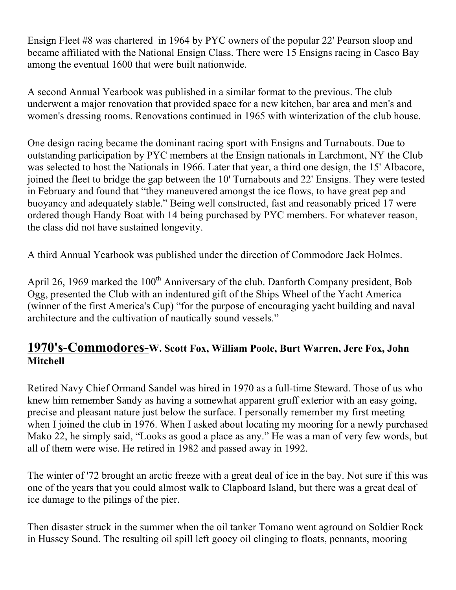Ensign Fleet #8 was chartered in 1964 by PYC owners of the popular 22' Pearson sloop and became affiliated with the National Ensign Class. There were 15 Ensigns racing in Casco Bay among the eventual 1600 that were built nationwide.

A second Annual Yearbook was published in a similar format to the previous. The club underwent a major renovation that provided space for a new kitchen, bar area and men's and women's dressing rooms. Renovations continued in 1965 with winterization of the club house.

One design racing became the dominant racing sport with Ensigns and Turnabouts. Due to outstanding participation by PYC members at the Ensign nationals in Larchmont, NY the Club was selected to host the Nationals in 1966. Later that year, a third one design, the 15' Albacore, joined the fleet to bridge the gap between the 10' Turnabouts and 22' Ensigns. They were tested in February and found that "they maneuvered amongst the ice flows, to have great pep and buoyancy and adequately stable." Being well constructed, fast and reasonably priced 17 were ordered though Handy Boat with 14 being purchased by PYC members. For whatever reason, the class did not have sustained longevity.

A third Annual Yearbook was published under the direction of Commodore Jack Holmes.

April 26, 1969 marked the  $100<sup>th</sup>$  Anniversary of the club. Danforth Company president, Bob Ogg, presented the Club with an indentured gift of the Ships Wheel of the Yacht America (winner of the first America's Cup) "for the purpose of encouraging yacht building and naval architecture and the cultivation of nautically sound vessels."

#### **1970's-Commodores-W. Scott Fox, William Poole, Burt Warren, Jere Fox, John Mitchell**

Retired Navy Chief Ormand Sandel was hired in 1970 as a full-time Steward. Those of us who knew him remember Sandy as having a somewhat apparent gruff exterior with an easy going, precise and pleasant nature just below the surface. I personally remember my first meeting when I joined the club in 1976. When I asked about locating my mooring for a newly purchased Mako 22, he simply said, "Looks as good a place as any." He was a man of very few words, but all of them were wise. He retired in 1982 and passed away in 1992.

The winter of '72 brought an arctic freeze with a great deal of ice in the bay. Not sure if this was one of the years that you could almost walk to Clapboard Island, but there was a great deal of ice damage to the pilings of the pier.

Then disaster struck in the summer when the oil tanker Tomano went aground on Soldier Rock in Hussey Sound. The resulting oil spill left gooey oil clinging to floats, pennants, mooring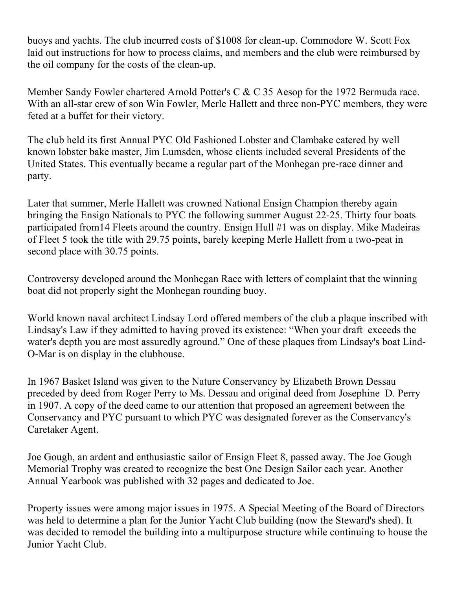buoys and yachts. The club incurred costs of \$1008 for clean-up. Commodore W. Scott Fox laid out instructions for how to process claims, and members and the club were reimbursed by the oil company for the costs of the clean-up.

Member Sandy Fowler chartered Arnold Potter's C & C 35 Aesop for the 1972 Bermuda race. With an all-star crew of son Win Fowler, Merle Hallett and three non-PYC members, they were feted at a buffet for their victory.

The club held its first Annual PYC Old Fashioned Lobster and Clambake catered by well known lobster bake master, Jim Lumsden, whose clients included several Presidents of the United States. This eventually became a regular part of the Monhegan pre-race dinner and party.

Later that summer, Merle Hallett was crowned National Ensign Champion thereby again bringing the Ensign Nationals to PYC the following summer August 22-25. Thirty four boats participated from14 Fleets around the country. Ensign Hull #1 was on display. Mike Madeiras of Fleet 5 took the title with 29.75 points, barely keeping Merle Hallett from a two-peat in second place with 30.75 points.

Controversy developed around the Monhegan Race with letters of complaint that the winning boat did not properly sight the Monhegan rounding buoy.

World known naval architect Lindsay Lord offered members of the club a plaque inscribed with Lindsay's Law if they admitted to having proved its existence: "When your draft exceeds the water's depth you are most assuredly aground." One of these plaques from Lindsay's boat Lind-O-Mar is on display in the clubhouse.

In 1967 Basket Island was given to the Nature Conservancy by Elizabeth Brown Dessau preceded by deed from Roger Perry to Ms. Dessau and original deed from Josephine D. Perry in 1907. A copy of the deed came to our attention that proposed an agreement between the Conservancy and PYC pursuant to which PYC was designated forever as the Conservancy's Caretaker Agent.

Joe Gough, an ardent and enthusiastic sailor of Ensign Fleet 8, passed away. The Joe Gough Memorial Trophy was created to recognize the best One Design Sailor each year. Another Annual Yearbook was published with 32 pages and dedicated to Joe.

Property issues were among major issues in 1975. A Special Meeting of the Board of Directors was held to determine a plan for the Junior Yacht Club building (now the Steward's shed). It was decided to remodel the building into a multipurpose structure while continuing to house the Junior Yacht Club.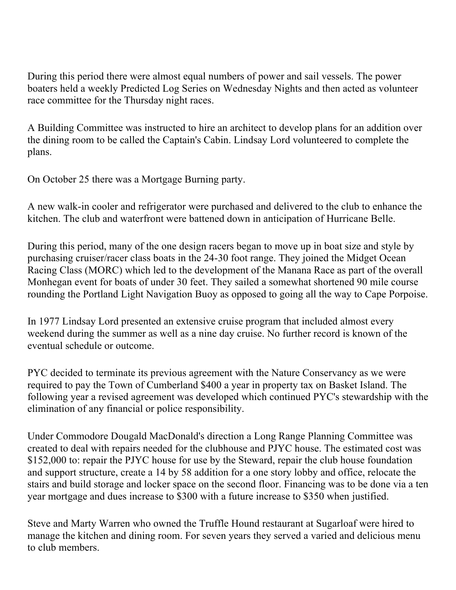During this period there were almost equal numbers of power and sail vessels. The power boaters held a weekly Predicted Log Series on Wednesday Nights and then acted as volunteer race committee for the Thursday night races.

A Building Committee was instructed to hire an architect to develop plans for an addition over the dining room to be called the Captain's Cabin. Lindsay Lord volunteered to complete the plans.

On October 25 there was a Mortgage Burning party.

A new walk-in cooler and refrigerator were purchased and delivered to the club to enhance the kitchen. The club and waterfront were battened down in anticipation of Hurricane Belle.

During this period, many of the one design racers began to move up in boat size and style by purchasing cruiser/racer class boats in the 24-30 foot range. They joined the Midget Ocean Racing Class (MORC) which led to the development of the Manana Race as part of the overall Monhegan event for boats of under 30 feet. They sailed a somewhat shortened 90 mile course rounding the Portland Light Navigation Buoy as opposed to going all the way to Cape Porpoise.

In 1977 Lindsay Lord presented an extensive cruise program that included almost every weekend during the summer as well as a nine day cruise. No further record is known of the eventual schedule or outcome.

PYC decided to terminate its previous agreement with the Nature Conservancy as we were required to pay the Town of Cumberland \$400 a year in property tax on Basket Island. The following year a revised agreement was developed which continued PYC's stewardship with the elimination of any financial or police responsibility.

Under Commodore Dougald MacDonald's direction a Long Range Planning Committee was created to deal with repairs needed for the clubhouse and PJYC house. The estimated cost was \$152,000 to: repair the PJYC house for use by the Steward, repair the club house foundation and support structure, create a 14 by 58 addition for a one story lobby and office, relocate the stairs and build storage and locker space on the second floor. Financing was to be done via a ten year mortgage and dues increase to \$300 with a future increase to \$350 when justified.

Steve and Marty Warren who owned the Truffle Hound restaurant at Sugarloaf were hired to manage the kitchen and dining room. For seven years they served a varied and delicious menu to club members.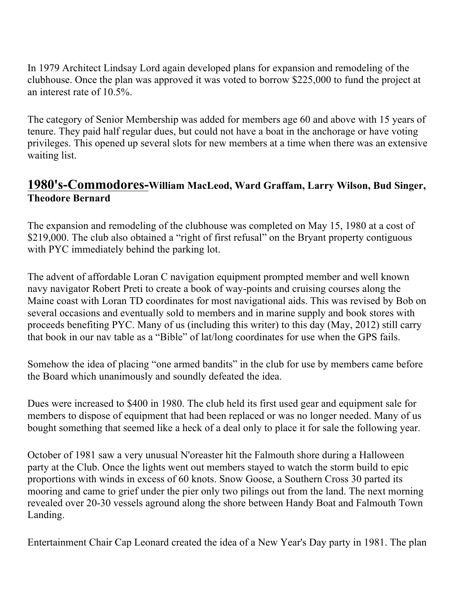In 1979 Architect Lindsay Lord again developed plans for expansion and remodeling of the clubhouse. Once the plan was approved it was voted to borrow \$225,000 to fund the project at an interest rate of 10.5%.

The category of Senior Membership was added for members age 60 and above with 15 years of tenure. They paid half regular dues, but could not have a boat in the anchorage or have voting privileges. This opened up several slots for new members at a time when there was an extensive waiting list.

## **1980's-Commodores-William MacLeod, Ward Graffam, Larry Wilson, Bud Singer, Theodore Bernard**

The expansion and remodeling of the clubhouse was completed on May 15, 1980 at a cost of \$219,000. The club also obtained a "right of first refusal" on the Bryant property contiguous with PYC immediately behind the parking lot.

The advent of affordable Loran C navigation equipment prompted member and well known navy navigator Robert Preti to create a book of way-points and cruising courses along the Maine coast with Loran TD coordinates for most navigational aids. This was revised by Bob on several occasions and eventually sold to members and in marine supply and book stores with proceeds benefiting PYC. Many of us (including this writer) to this day (May, 2012) still carry that book in our nav table as a "Bible" of lat/long coordinates for use when the GPS fails.

Somehow the idea of placing "one armed bandits" in the club for use by members came before the Board which unanimously and soundly defeated the idea.

Dues were increased to \$400 in 1980. The club held its first used gear and equipment sale for members to dispose of equipment that had been replaced or was no longer needed. Many of us bought something that seemed like a heck of a deal only to place it for sale the following year.

October of 1981 saw a very unusual N'oreaster hit the Falmouth shore during a Halloween party at the Club. Once the lights went out members stayed to watch the storm build to epic proportions with winds in excess of 60 knots. Snow Goose, a Southern Cross 30 parted its mooring and came to grief under the pier only two pilings out from the land. The next morning revealed over 20-30 vessels aground along the shore between Handy Boat and Falmouth Town Landing.

Entertainment Chair Cap Leonard created the idea of a New Year's Day party in 1981. The plan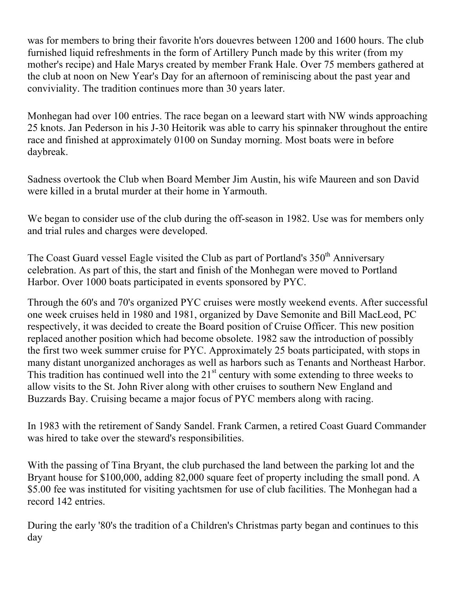was for members to bring their favorite h'ors douevres between 1200 and 1600 hours. The club furnished liquid refreshments in the form of Artillery Punch made by this writer (from my mother's recipe) and Hale Marys created by member Frank Hale. Over 75 members gathered at the club at noon on New Year's Day for an afternoon of reminiscing about the past year and conviviality. The tradition continues more than 30 years later.

Monhegan had over 100 entries. The race began on a leeward start with NW winds approaching 25 knots. Jan Pederson in his J-30 Heitorik was able to carry his spinnaker throughout the entire race and finished at approximately 0100 on Sunday morning. Most boats were in before daybreak.

Sadness overtook the Club when Board Member Jim Austin, his wife Maureen and son David were killed in a brutal murder at their home in Yarmouth.

We began to consider use of the club during the off-season in 1982. Use was for members only and trial rules and charges were developed.

The Coast Guard vessel Eagle visited the Club as part of Portland's 350<sup>th</sup> Anniversary celebration. As part of this, the start and finish of the Monhegan were moved to Portland Harbor. Over 1000 boats participated in events sponsored by PYC.

Through the 60's and 70's organized PYC cruises were mostly weekend events. After successful one week cruises held in 1980 and 1981, organized by Dave Semonite and Bill MacLeod, PC respectively, it was decided to create the Board position of Cruise Officer. This new position replaced another position which had become obsolete. 1982 saw the introduction of possibly the first two week summer cruise for PYC. Approximately 25 boats participated, with stops in many distant unorganized anchorages as well as harbors such as Tenants and Northeast Harbor. This tradition has continued well into the  $21<sup>st</sup>$  century with some extending to three weeks to allow visits to the St. John River along with other cruises to southern New England and Buzzards Bay. Cruising became a major focus of PYC members along with racing.

In 1983 with the retirement of Sandy Sandel. Frank Carmen, a retired Coast Guard Commander was hired to take over the steward's responsibilities.

With the passing of Tina Bryant, the club purchased the land between the parking lot and the Bryant house for \$100,000, adding 82,000 square feet of property including the small pond. A \$5.00 fee was instituted for visiting yachtsmen for use of club facilities. The Monhegan had a record 142 entries.

During the early '80's the tradition of a Children's Christmas party began and continues to this day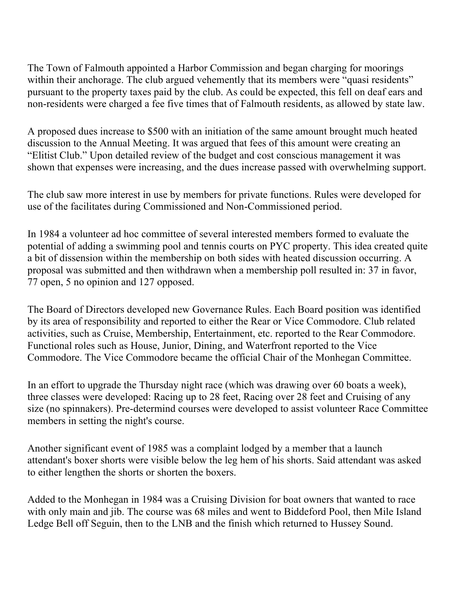The Town of Falmouth appointed a Harbor Commission and began charging for moorings within their anchorage. The club argued vehemently that its members were "quasi residents" pursuant to the property taxes paid by the club. As could be expected, this fell on deaf ears and non-residents were charged a fee five times that of Falmouth residents, as allowed by state law.

A proposed dues increase to \$500 with an initiation of the same amount brought much heated discussion to the Annual Meeting. It was argued that fees of this amount were creating an "Elitist Club." Upon detailed review of the budget and cost conscious management it was shown that expenses were increasing, and the dues increase passed with overwhelming support.

The club saw more interest in use by members for private functions. Rules were developed for use of the facilitates during Commissioned and Non-Commissioned period.

In 1984 a volunteer ad hoc committee of several interested members formed to evaluate the potential of adding a swimming pool and tennis courts on PYC property. This idea created quite a bit of dissension within the membership on both sides with heated discussion occurring. A proposal was submitted and then withdrawn when a membership poll resulted in: 37 in favor, 77 open, 5 no opinion and 127 opposed.

The Board of Directors developed new Governance Rules. Each Board position was identified by its area of responsibility and reported to either the Rear or Vice Commodore. Club related activities, such as Cruise, Membership, Entertainment, etc. reported to the Rear Commodore. Functional roles such as House, Junior, Dining, and Waterfront reported to the Vice Commodore. The Vice Commodore became the official Chair of the Monhegan Committee.

In an effort to upgrade the Thursday night race (which was drawing over 60 boats a week), three classes were developed: Racing up to 28 feet, Racing over 28 feet and Cruising of any size (no spinnakers). Pre-determind courses were developed to assist volunteer Race Committee members in setting the night's course.

Another significant event of 1985 was a complaint lodged by a member that a launch attendant's boxer shorts were visible below the leg hem of his shorts. Said attendant was asked to either lengthen the shorts or shorten the boxers.

Added to the Monhegan in 1984 was a Cruising Division for boat owners that wanted to race with only main and jib. The course was 68 miles and went to Biddeford Pool, then Mile Island Ledge Bell off Seguin, then to the LNB and the finish which returned to Hussey Sound.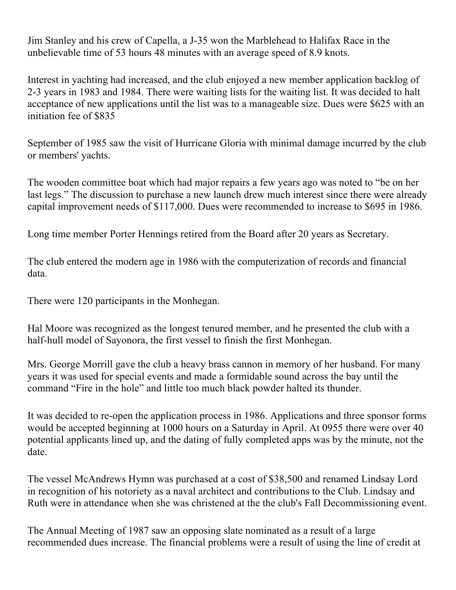Jim Stanley and his crew of Capella, a J-35 won the Marblehead to Halifax Race in the unbelievable time of 53 hours 48 minutes with an average speed of 8.9 knots.

Interest in yachting had increased, and the club enjoyed a new member application backlog of 2-3 years in 1983 and 1984. There were waiting lists for the waiting list. It was decided to halt acceptance of new applications until the list was to a manageable size. Dues were \$625 with an initiation fee of \$835

September of 1985 saw the visit of Hurricane Gloria with minimal damage incurred by the club or members' yachts.

The wooden committee boat which had major repairs a few years ago was noted to "be on her last legs." The discussion to purchase a new launch drew much interest since there were already capital improvement needs of \$117,000. Dues were recommended to increase to \$695 in 1986.

Long time member Porter Hennings retired from the Board after 20 years as Secretary.

The club entered the modern age in 1986 with the computerization of records and financial data.

There were 120 participants in the Monhegan.

Hal Moore was recognized as the longest tenured member, and he presented the club with a half-hull model of Sayonora, the first vessel to finish the first Monhegan.

Mrs. George Morrill gave the club a heavy brass cannon in memory of her husband. For many years it was used for special events and made a formidable sound across the bay until the command "Fire in the hole" and little too much black powder halted its thunder.

It was decided to re-open the application process in 1986. Applications and three sponsor forms would be accepted beginning at 1000 hours on a Saturday in April. At 0955 there were over 40 potential applicants lined up, and the dating of fully completed apps was by the minute, not the date.

The vessel McAndrews Hymn was purchased at a cost of \$38,500 and renamed Lindsay Lord in recognition of his notoriety as a naval architect and contributions to the Club. Lindsay and Ruth were in attendance when she was christened at the the club's Fall Decommissioning event.

The Annual Meeting of 1987 saw an opposing slate nominated as a result of a large recommended dues increase. The financial problems were a result of using the line of credit at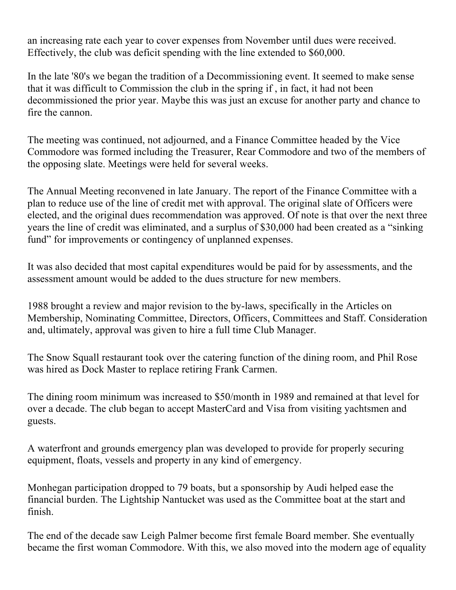an increasing rate each year to cover expenses from November until dues were received. Effectively, the club was deficit spending with the line extended to \$60,000.

In the late '80's we began the tradition of a Decommissioning event. It seemed to make sense that it was difficult to Commission the club in the spring if , in fact, it had not been decommissioned the prior year. Maybe this was just an excuse for another party and chance to fire the cannon.

The meeting was continued, not adjourned, and a Finance Committee headed by the Vice Commodore was formed including the Treasurer, Rear Commodore and two of the members of the opposing slate. Meetings were held for several weeks.

The Annual Meeting reconvened in late January. The report of the Finance Committee with a plan to reduce use of the line of credit met with approval. The original slate of Officers were elected, and the original dues recommendation was approved. Of note is that over the next three years the line of credit was eliminated, and a surplus of \$30,000 had been created as a "sinking fund" for improvements or contingency of unplanned expenses.

It was also decided that most capital expenditures would be paid for by assessments, and the assessment amount would be added to the dues structure for new members.

1988 brought a review and major revision to the by-laws, specifically in the Articles on Membership, Nominating Committee, Directors, Officers, Committees and Staff. Consideration and, ultimately, approval was given to hire a full time Club Manager.

The Snow Squall restaurant took over the catering function of the dining room, and Phil Rose was hired as Dock Master to replace retiring Frank Carmen.

The dining room minimum was increased to \$50/month in 1989 and remained at that level for over a decade. The club began to accept MasterCard and Visa from visiting yachtsmen and guests.

A waterfront and grounds emergency plan was developed to provide for properly securing equipment, floats, vessels and property in any kind of emergency.

Monhegan participation dropped to 79 boats, but a sponsorship by Audi helped ease the financial burden. The Lightship Nantucket was used as the Committee boat at the start and finish.

The end of the decade saw Leigh Palmer become first female Board member. She eventually became the first woman Commodore. With this, we also moved into the modern age of equality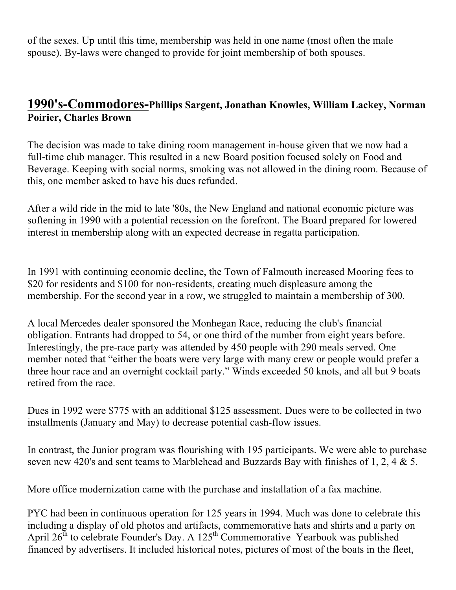of the sexes. Up until this time, membership was held in one name (most often the male spouse). By-laws were changed to provide for joint membership of both spouses.

### **1990's-Commodores-Phillips Sargent, Jonathan Knowles, William Lackey, Norman Poirier, Charles Brown**

The decision was made to take dining room management in-house given that we now had a full-time club manager. This resulted in a new Board position focused solely on Food and Beverage. Keeping with social norms, smoking was not allowed in the dining room. Because of this, one member asked to have his dues refunded.

After a wild ride in the mid to late '80s, the New England and national economic picture was softening in 1990 with a potential recession on the forefront. The Board prepared for lowered interest in membership along with an expected decrease in regatta participation.

In 1991 with continuing economic decline, the Town of Falmouth increased Mooring fees to \$20 for residents and \$100 for non-residents, creating much displeasure among the membership. For the second year in a row, we struggled to maintain a membership of 300.

A local Mercedes dealer sponsored the Monhegan Race, reducing the club's financial obligation. Entrants had dropped to 54, or one third of the number from eight years before. Interestingly, the pre-race party was attended by 450 people with 290 meals served. One member noted that "either the boats were very large with many crew or people would prefer a three hour race and an overnight cocktail party." Winds exceeded 50 knots, and all but 9 boats retired from the race.

Dues in 1992 were \$775 with an additional \$125 assessment. Dues were to be collected in two installments (January and May) to decrease potential cash-flow issues.

In contrast, the Junior program was flourishing with 195 participants. We were able to purchase seven new 420's and sent teams to Marblehead and Buzzards Bay with finishes of 1, 2, 4 & 5.

More office modernization came with the purchase and installation of a fax machine.

PYC had been in continuous operation for 125 years in 1994. Much was done to celebrate this including a display of old photos and artifacts, commemorative hats and shirts and a party on April  $26^{th}$  to celebrate Founder's Day. A  $125^{th}$  Commemorative Yearbook was published financed by advertisers. It included historical notes, pictures of most of the boats in the fleet,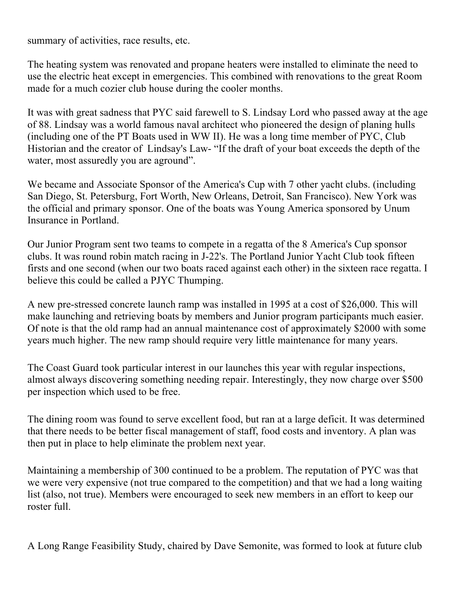summary of activities, race results, etc.

The heating system was renovated and propane heaters were installed to eliminate the need to use the electric heat except in emergencies. This combined with renovations to the great Room made for a much cozier club house during the cooler months.

It was with great sadness that PYC said farewell to S. Lindsay Lord who passed away at the age of 88. Lindsay was a world famous naval architect who pioneered the design of planing hulls (including one of the PT Boats used in WW II). He was a long time member of PYC, Club Historian and the creator of Lindsay's Law- "If the draft of your boat exceeds the depth of the water, most assuredly you are aground".

We became and Associate Sponsor of the America's Cup with 7 other yacht clubs. (including San Diego, St. Petersburg, Fort Worth, New Orleans, Detroit, San Francisco). New York was the official and primary sponsor. One of the boats was Young America sponsored by Unum Insurance in Portland.

Our Junior Program sent two teams to compete in a regatta of the 8 America's Cup sponsor clubs. It was round robin match racing in J-22's. The Portland Junior Yacht Club took fifteen firsts and one second (when our two boats raced against each other) in the sixteen race regatta. I believe this could be called a PJYC Thumping.

A new pre-stressed concrete launch ramp was installed in 1995 at a cost of \$26,000. This will make launching and retrieving boats by members and Junior program participants much easier. Of note is that the old ramp had an annual maintenance cost of approximately \$2000 with some years much higher. The new ramp should require very little maintenance for many years.

The Coast Guard took particular interest in our launches this year with regular inspections, almost always discovering something needing repair. Interestingly, they now charge over \$500 per inspection which used to be free.

The dining room was found to serve excellent food, but ran at a large deficit. It was determined that there needs to be better fiscal management of staff, food costs and inventory. A plan was then put in place to help eliminate the problem next year.

Maintaining a membership of 300 continued to be a problem. The reputation of PYC was that we were very expensive (not true compared to the competition) and that we had a long waiting list (also, not true). Members were encouraged to seek new members in an effort to keep our roster full.

A Long Range Feasibility Study, chaired by Dave Semonite, was formed to look at future club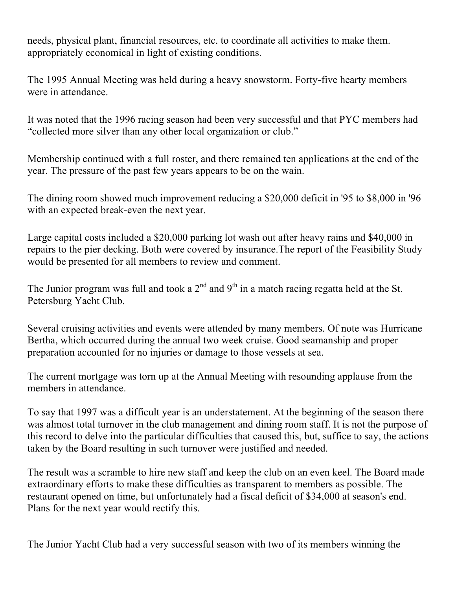needs, physical plant, financial resources, etc. to coordinate all activities to make them. appropriately economical in light of existing conditions.

The 1995 Annual Meeting was held during a heavy snowstorm. Forty-five hearty members were in attendance.

It was noted that the 1996 racing season had been very successful and that PYC members had "collected more silver than any other local organization or club."

Membership continued with a full roster, and there remained ten applications at the end of the year. The pressure of the past few years appears to be on the wain.

The dining room showed much improvement reducing a \$20,000 deficit in '95 to \$8,000 in '96 with an expected break-even the next year.

Large capital costs included a \$20,000 parking lot wash out after heavy rains and \$40,000 in repairs to the pier decking. Both were covered by insurance.The report of the Feasibility Study would be presented for all members to review and comment.

The Junior program was full and took a  $2<sup>nd</sup>$  and  $9<sup>th</sup>$  in a match racing regatta held at the St. Petersburg Yacht Club.

Several cruising activities and events were attended by many members. Of note was Hurricane Bertha, which occurred during the annual two week cruise. Good seamanship and proper preparation accounted for no injuries or damage to those vessels at sea.

The current mortgage was torn up at the Annual Meeting with resounding applause from the members in attendance.

To say that 1997 was a difficult year is an understatement. At the beginning of the season there was almost total turnover in the club management and dining room staff. It is not the purpose of this record to delve into the particular difficulties that caused this, but, suffice to say, the actions taken by the Board resulting in such turnover were justified and needed.

The result was a scramble to hire new staff and keep the club on an even keel. The Board made extraordinary efforts to make these difficulties as transparent to members as possible. The restaurant opened on time, but unfortunately had a fiscal deficit of \$34,000 at season's end. Plans for the next year would rectify this.

The Junior Yacht Club had a very successful season with two of its members winning the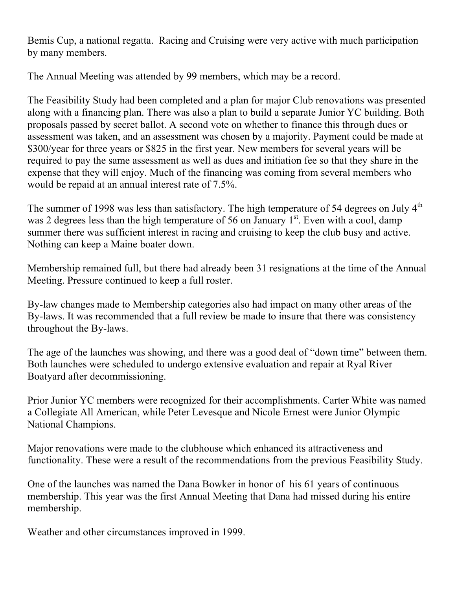Bemis Cup, a national regatta. Racing and Cruising were very active with much participation by many members.

The Annual Meeting was attended by 99 members, which may be a record.

The Feasibility Study had been completed and a plan for major Club renovations was presented along with a financing plan. There was also a plan to build a separate Junior YC building. Both proposals passed by secret ballot. A second vote on whether to finance this through dues or assessment was taken, and an assessment was chosen by a majority. Payment could be made at \$300/year for three years or \$825 in the first year. New members for several years will be required to pay the same assessment as well as dues and initiation fee so that they share in the expense that they will enjoy. Much of the financing was coming from several members who would be repaid at an annual interest rate of 7.5%.

The summer of 1998 was less than satisfactory. The high temperature of 54 degrees on July  $4<sup>th</sup>$ was 2 degrees less than the high temperature of 56 on January  $1<sup>st</sup>$ . Even with a cool, damp summer there was sufficient interest in racing and cruising to keep the club busy and active. Nothing can keep a Maine boater down.

Membership remained full, but there had already been 31 resignations at the time of the Annual Meeting. Pressure continued to keep a full roster.

By-law changes made to Membership categories also had impact on many other areas of the By-laws. It was recommended that a full review be made to insure that there was consistency throughout the By-laws.

The age of the launches was showing, and there was a good deal of "down time" between them. Both launches were scheduled to undergo extensive evaluation and repair at Ryal River Boatyard after decommissioning.

Prior Junior YC members were recognized for their accomplishments. Carter White was named a Collegiate All American, while Peter Levesque and Nicole Ernest were Junior Olympic National Champions.

Major renovations were made to the clubhouse which enhanced its attractiveness and functionality. These were a result of the recommendations from the previous Feasibility Study.

One of the launches was named the Dana Bowker in honor of his 61 years of continuous membership. This year was the first Annual Meeting that Dana had missed during his entire membership.

Weather and other circumstances improved in 1999.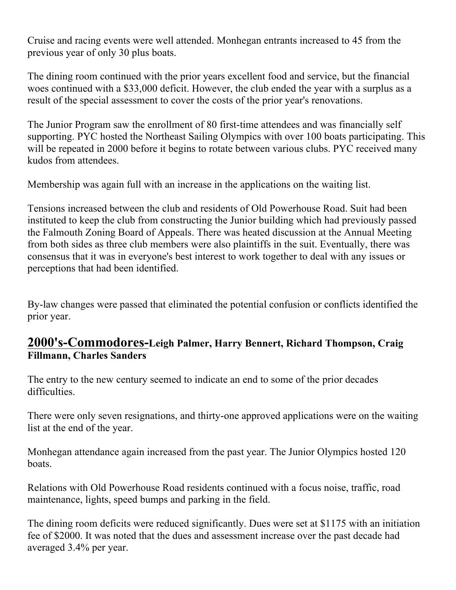Cruise and racing events were well attended. Monhegan entrants increased to 45 from the previous year of only 30 plus boats.

The dining room continued with the prior years excellent food and service, but the financial woes continued with a \$33,000 deficit. However, the club ended the year with a surplus as a result of the special assessment to cover the costs of the prior year's renovations.

The Junior Program saw the enrollment of 80 first-time attendees and was financially self supporting. PYC hosted the Northeast Sailing Olympics with over 100 boats participating. This will be repeated in 2000 before it begins to rotate between various clubs. PYC received many kudos from attendees.

Membership was again full with an increase in the applications on the waiting list.

Tensions increased between the club and residents of Old Powerhouse Road. Suit had been instituted to keep the club from constructing the Junior building which had previously passed the Falmouth Zoning Board of Appeals. There was heated discussion at the Annual Meeting from both sides as three club members were also plaintiffs in the suit. Eventually, there was consensus that it was in everyone's best interest to work together to deal with any issues or perceptions that had been identified.

By-law changes were passed that eliminated the potential confusion or conflicts identified the prior year.

## **2000's-Commodores-Leigh Palmer, Harry Bennert, Richard Thompson, Craig Fillmann, Charles Sanders**

The entry to the new century seemed to indicate an end to some of the prior decades difficulties.

There were only seven resignations, and thirty-one approved applications were on the waiting list at the end of the year.

Monhegan attendance again increased from the past year. The Junior Olympics hosted 120 boats.

Relations with Old Powerhouse Road residents continued with a focus noise, traffic, road maintenance, lights, speed bumps and parking in the field.

The dining room deficits were reduced significantly. Dues were set at \$1175 with an initiation fee of \$2000. It was noted that the dues and assessment increase over the past decade had averaged 3.4% per year.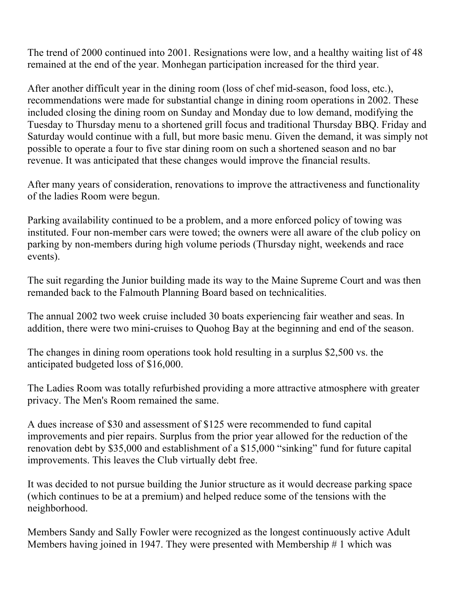The trend of 2000 continued into 2001. Resignations were low, and a healthy waiting list of 48 remained at the end of the year. Monhegan participation increased for the third year.

After another difficult year in the dining room (loss of chef mid-season, food loss, etc.), recommendations were made for substantial change in dining room operations in 2002. These included closing the dining room on Sunday and Monday due to low demand, modifying the Tuesday to Thursday menu to a shortened grill focus and traditional Thursday BBQ. Friday and Saturday would continue with a full, but more basic menu. Given the demand, it was simply not possible to operate a four to five star dining room on such a shortened season and no bar revenue. It was anticipated that these changes would improve the financial results.

After many years of consideration, renovations to improve the attractiveness and functionality of the ladies Room were begun.

Parking availability continued to be a problem, and a more enforced policy of towing was instituted. Four non-member cars were towed; the owners were all aware of the club policy on parking by non-members during high volume periods (Thursday night, weekends and race events).

The suit regarding the Junior building made its way to the Maine Supreme Court and was then remanded back to the Falmouth Planning Board based on technicalities.

The annual 2002 two week cruise included 30 boats experiencing fair weather and seas. In addition, there were two mini-cruises to Quohog Bay at the beginning and end of the season.

The changes in dining room operations took hold resulting in a surplus \$2,500 vs. the anticipated budgeted loss of \$16,000.

The Ladies Room was totally refurbished providing a more attractive atmosphere with greater privacy. The Men's Room remained the same.

A dues increase of \$30 and assessment of \$125 were recommended to fund capital improvements and pier repairs. Surplus from the prior year allowed for the reduction of the renovation debt by \$35,000 and establishment of a \$15,000 "sinking" fund for future capital improvements. This leaves the Club virtually debt free.

It was decided to not pursue building the Junior structure as it would decrease parking space (which continues to be at a premium) and helped reduce some of the tensions with the neighborhood.

Members Sandy and Sally Fowler were recognized as the longest continuously active Adult Members having joined in 1947. They were presented with Membership # 1 which was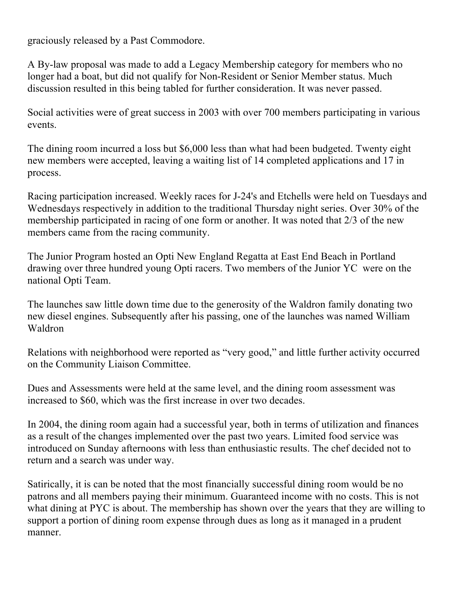graciously released by a Past Commodore.

A By-law proposal was made to add a Legacy Membership category for members who no longer had a boat, but did not qualify for Non-Resident or Senior Member status. Much discussion resulted in this being tabled for further consideration. It was never passed.

Social activities were of great success in 2003 with over 700 members participating in various events.

The dining room incurred a loss but \$6,000 less than what had been budgeted. Twenty eight new members were accepted, leaving a waiting list of 14 completed applications and 17 in process.

Racing participation increased. Weekly races for J-24's and Etchells were held on Tuesdays and Wednesdays respectively in addition to the traditional Thursday night series. Over 30% of the membership participated in racing of one form or another. It was noted that 2/3 of the new members came from the racing community.

The Junior Program hosted an Opti New England Regatta at East End Beach in Portland drawing over three hundred young Opti racers. Two members of the Junior YC were on the national Opti Team.

The launches saw little down time due to the generosity of the Waldron family donating two new diesel engines. Subsequently after his passing, one of the launches was named William Waldron

Relations with neighborhood were reported as "very good," and little further activity occurred on the Community Liaison Committee.

Dues and Assessments were held at the same level, and the dining room assessment was increased to \$60, which was the first increase in over two decades.

In 2004, the dining room again had a successful year, both in terms of utilization and finances as a result of the changes implemented over the past two years. Limited food service was introduced on Sunday afternoons with less than enthusiastic results. The chef decided not to return and a search was under way.

Satirically, it is can be noted that the most financially successful dining room would be no patrons and all members paying their minimum. Guaranteed income with no costs. This is not what dining at PYC is about. The membership has shown over the years that they are willing to support a portion of dining room expense through dues as long as it managed in a prudent manner.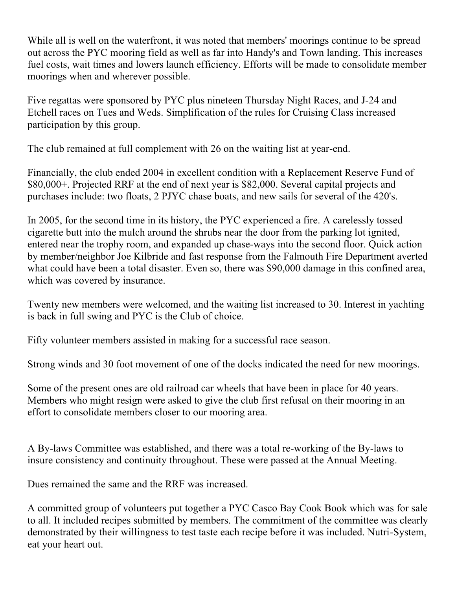While all is well on the waterfront, it was noted that members' moorings continue to be spread out across the PYC mooring field as well as far into Handy's and Town landing. This increases fuel costs, wait times and lowers launch efficiency. Efforts will be made to consolidate member moorings when and wherever possible.

Five regattas were sponsored by PYC plus nineteen Thursday Night Races, and J-24 and Etchell races on Tues and Weds. Simplification of the rules for Cruising Class increased participation by this group.

The club remained at full complement with 26 on the waiting list at year-end.

Financially, the club ended 2004 in excellent condition with a Replacement Reserve Fund of \$80,000+. Projected RRF at the end of next year is \$82,000. Several capital projects and purchases include: two floats, 2 PJYC chase boats, and new sails for several of the 420's.

In 2005, for the second time in its history, the PYC experienced a fire. A carelessly tossed cigarette butt into the mulch around the shrubs near the door from the parking lot ignited, entered near the trophy room, and expanded up chase-ways into the second floor. Quick action by member/neighbor Joe Kilbride and fast response from the Falmouth Fire Department averted what could have been a total disaster. Even so, there was \$90,000 damage in this confined area, which was covered by insurance.

Twenty new members were welcomed, and the waiting list increased to 30. Interest in yachting is back in full swing and PYC is the Club of choice.

Fifty volunteer members assisted in making for a successful race season.

Strong winds and 30 foot movement of one of the docks indicated the need for new moorings.

Some of the present ones are old railroad car wheels that have been in place for 40 years. Members who might resign were asked to give the club first refusal on their mooring in an effort to consolidate members closer to our mooring area.

A By-laws Committee was established, and there was a total re-working of the By-laws to insure consistency and continuity throughout. These were passed at the Annual Meeting.

Dues remained the same and the RRF was increased.

A committed group of volunteers put together a PYC Casco Bay Cook Book which was for sale to all. It included recipes submitted by members. The commitment of the committee was clearly demonstrated by their willingness to test taste each recipe before it was included. Nutri-System, eat your heart out.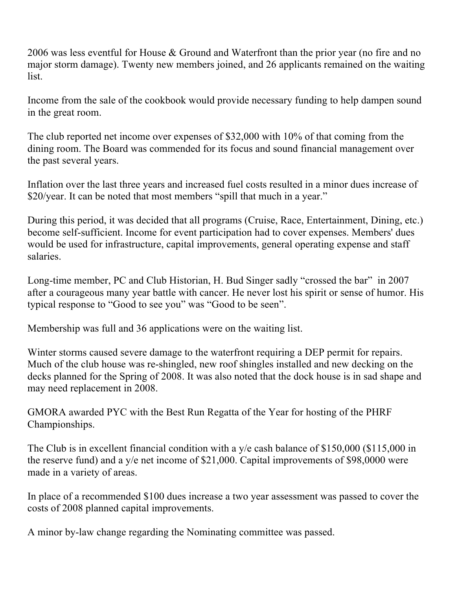2006 was less eventful for House & Ground and Waterfront than the prior year (no fire and no major storm damage). Twenty new members joined, and 26 applicants remained on the waiting list.

Income from the sale of the cookbook would provide necessary funding to help dampen sound in the great room.

The club reported net income over expenses of \$32,000 with 10% of that coming from the dining room. The Board was commended for its focus and sound financial management over the past several years.

Inflation over the last three years and increased fuel costs resulted in a minor dues increase of \$20/year. It can be noted that most members "spill that much in a year."

During this period, it was decided that all programs (Cruise, Race, Entertainment, Dining, etc.) become self-sufficient. Income for event participation had to cover expenses. Members' dues would be used for infrastructure, capital improvements, general operating expense and staff salaries.

Long-time member, PC and Club Historian, H. Bud Singer sadly "crossed the bar" in 2007 after a courageous many year battle with cancer. He never lost his spirit or sense of humor. His typical response to "Good to see you" was "Good to be seen".

Membership was full and 36 applications were on the waiting list.

Winter storms caused severe damage to the waterfront requiring a DEP permit for repairs. Much of the club house was re-shingled, new roof shingles installed and new decking on the decks planned for the Spring of 2008. It was also noted that the dock house is in sad shape and may need replacement in 2008.

GMORA awarded PYC with the Best Run Regatta of the Year for hosting of the PHRF Championships.

The Club is in excellent financial condition with a y/e cash balance of \$150,000 (\$115,000 in the reserve fund) and a y/e net income of \$21,000. Capital improvements of \$98,0000 were made in a variety of areas.

In place of a recommended \$100 dues increase a two year assessment was passed to cover the costs of 2008 planned capital improvements.

A minor by-law change regarding the Nominating committee was passed.